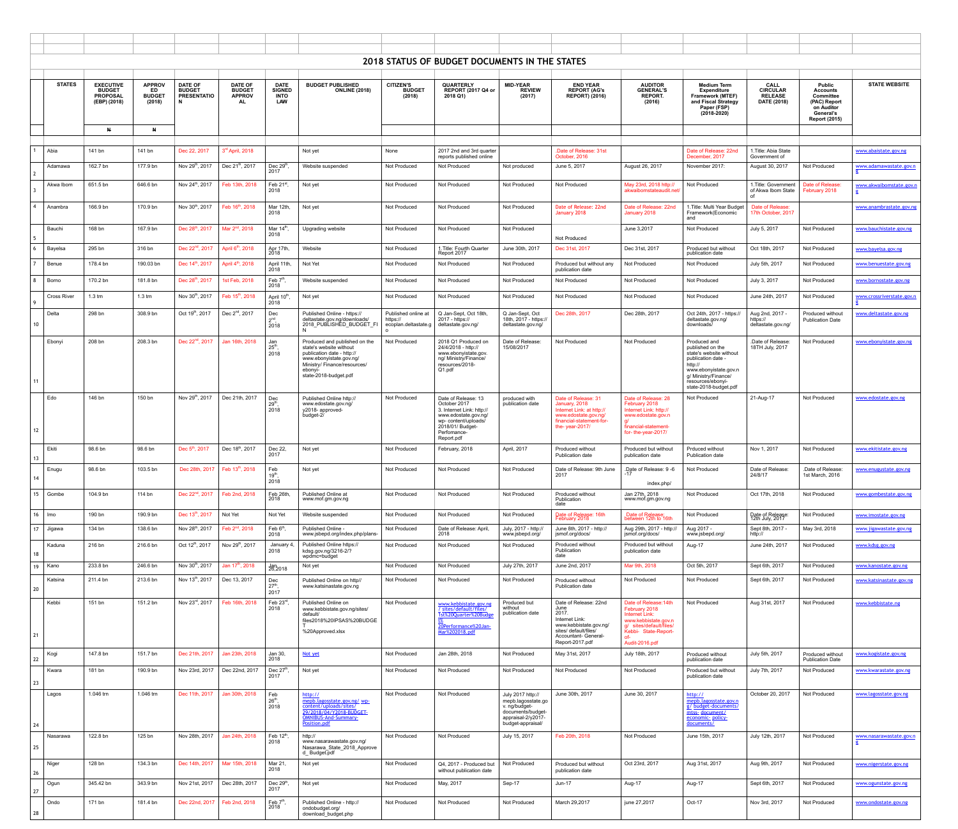|                          |                                                                      |                                                |                                                       |                                                               |                                                           |                                                                                                                                                                                       |                                                         | 2018 STATUS OF BUDGET DOCUMENTS IN THE STATES                                                                                                                    |                                                                                                                          |                                                                                                                                                        |                                                                                                                                                       |                                                                                                                                                                                             |                                                                 |                                                                                                                         |                                |
|--------------------------|----------------------------------------------------------------------|------------------------------------------------|-------------------------------------------------------|---------------------------------------------------------------|-----------------------------------------------------------|---------------------------------------------------------------------------------------------------------------------------------------------------------------------------------------|---------------------------------------------------------|------------------------------------------------------------------------------------------------------------------------------------------------------------------|--------------------------------------------------------------------------------------------------------------------------|--------------------------------------------------------------------------------------------------------------------------------------------------------|-------------------------------------------------------------------------------------------------------------------------------------------------------|---------------------------------------------------------------------------------------------------------------------------------------------------------------------------------------------|-----------------------------------------------------------------|-------------------------------------------------------------------------------------------------------------------------|--------------------------------|
| <b>STATES</b>            | <b>EXECUTIVE</b><br><b>BUDGET</b><br><b>PROPOSAL</b><br>(EBP) (2018) | <b>APPROV</b><br>ED<br><b>BUDGET</b><br>(2018) | <b>DATE OF</b><br><b>BUDGET</b><br><b>PRESENTATIO</b> | <b>DATE OF</b><br><b>BUDGET</b><br><b>APPROV</b><br><b>AL</b> | <b>DATE</b><br><b>SIGNED</b><br><b>INTO</b><br><b>LAW</b> | <b>BUDGET PUBLISHED</b><br><b>ONLINE (2018)</b>                                                                                                                                       | <b>CITIZEN'S</b><br><b>BUDGET</b><br>(2018)             | <b>QUARTERLY</b><br><b>REPORT (2017 Q4 or</b><br>2018 Q1)                                                                                                        | <b>MID-YEAR</b><br><b>REVIEW</b><br>(2017)                                                                               | <b>END YEAR</b><br><b>REPORT (AG's</b><br><b>REPORT) (2016)</b>                                                                                        | <b>AUDITOR</b><br><b>GENERAL'S</b><br><b>REPORT.</b><br>(2016)                                                                                        | <b>Medium Term</b><br><b>Expenditure</b><br><b>Framework (MTEF)</b><br>and Fiscal Strategy<br>Paper (FSP)<br>$(2018 - 2020)$                                                                | <b>CALL</b><br><b>CIRCULAR</b><br><b>RELEASE</b><br>DATE (2018) | <b>Public</b><br><b>Accounts</b><br><b>Committee</b><br>(PAC) Report<br>on Auditor<br>General's<br><b>Report (2015)</b> | <b>STATE WEBSITE</b>           |
|                          | $\mathbf{N}$                                                         | $\mathbf{N}$                                   |                                                       |                                                               |                                                           |                                                                                                                                                                                       |                                                         |                                                                                                                                                                  |                                                                                                                          |                                                                                                                                                        |                                                                                                                                                       |                                                                                                                                                                                             |                                                                 |                                                                                                                         |                                |
| Abia                     | 141 bn                                                               | 141 bn                                         | Dec 22, 2017                                          | $3rd$ April, 2018                                             |                                                           | Not yet                                                                                                                                                                               | None                                                    | 2017 2nd and 3rd quarter                                                                                                                                         |                                                                                                                          | .Date of Release: 31st                                                                                                                                 |                                                                                                                                                       | Date of Release: 22nd                                                                                                                                                                       | 1. Title: Abia State                                            |                                                                                                                         | www.abaistate.gov.ng           |
| Adamawa                  | 162.7 bn                                                             | 177.9 bn                                       | Nov 29 <sup>th</sup> , 2017                           | Dec 21 <sup>th</sup> , 2017                                   | $\vert$ Dec 29 <sup>th</sup>                              | Website suspended                                                                                                                                                                     | Not Produced                                            | reports published online<br>Not Produced                                                                                                                         | Not produced                                                                                                             | October, 2016<br>June 5, 2017                                                                                                                          | August 26, 2017                                                                                                                                       | December, 2017<br>November 2017:                                                                                                                                                            | Government of<br>August 30, 2017                                | Not Produced                                                                                                            | www.adamawastate.gov.n         |
| Akwa Ibom                | 651.5 bn                                                             | 646.6 bn                                       | Nov 24 <sup>th</sup> , 2017                           | Feb 13th, 2018                                                | 2017<br>Feb $21^{st}$ ,                                   | Not yet                                                                                                                                                                               | Not Produced                                            | Not Produced                                                                                                                                                     | Not Produced                                                                                                             | Not Produced                                                                                                                                           | May 23rd, 2018 http://                                                                                                                                | Not Produced                                                                                                                                                                                | 1. Title: Government                                            | Date of Release                                                                                                         | www.akwaibomstate.gov.n        |
|                          |                                                                      |                                                |                                                       |                                                               | 2018                                                      |                                                                                                                                                                                       |                                                         |                                                                                                                                                                  |                                                                                                                          |                                                                                                                                                        | akwaibomstateaudit.net                                                                                                                                |                                                                                                                                                                                             | of Akwa Ibom State                                              | February 2018                                                                                                           |                                |
| Anambra                  | 166.9 bn                                                             | 170.9 bn                                       | Nov 30 <sup>th</sup> , 2017                           | Feb 16 <sup>th</sup> , 2018                                   | Mar 12th,<br>2018                                         | Not yet                                                                                                                                                                               | Not Produced                                            | Not Produced                                                                                                                                                     | Not Produced                                                                                                             | Date of Release: 22nd<br>January 2018                                                                                                                  | Date of Release: 22nd<br>January 2018                                                                                                                 | 1. Title: Multi Year Budget<br>Framework(Economic<br>and                                                                                                                                    | Date of Release:<br>17th October, 2017                          |                                                                                                                         | <u>www.anambrastate.gov.ng</u> |
| Bauchi                   | 168 bn                                                               | 167.9 bn                                       | Dec 28 <sup>th</sup> , 2017                           | Mar 2 <sup>nd</sup> , 2018                                    | Mar 14 <sup>th</sup> ,<br>2018                            | <b>Upgrading website</b>                                                                                                                                                              | Not Produced                                            | Not Produced                                                                                                                                                     | Not Produced                                                                                                             | Not Produced                                                                                                                                           | June 3,2017                                                                                                                                           | Not Produced                                                                                                                                                                                | July 5, 2017                                                    | Not Produced                                                                                                            | www.bauchistate.gov.ng         |
| Bayelsa                  | 295 bn                                                               | 316 bn                                         | Dec 22 <sup>nd</sup> , 2017                           | April 6 <sup>th</sup> , 2018                                  | Apr 17th,<br>2018                                         | Website                                                                                                                                                                               | Not Produced                                            | 1. Title: Fourth Quarter<br>Report 2017                                                                                                                          | June 30th, 2017                                                                                                          | Dec 31st, 2017                                                                                                                                         | Dec 31st, 2017                                                                                                                                        | Produced but without<br>publication date                                                                                                                                                    | Oct 18th, 2017                                                  | Not Produced                                                                                                            | www.bayelsa.gov.ng             |
| Benue                    | 178.4 bn                                                             | 190.03 bn                                      | Dec 14 <sup>th</sup> , 2017                           | April 4 <sup>th</sup> , 2018                                  | April 11th,<br>2018                                       | Not Yet                                                                                                                                                                               | Not Produced                                            | Not Produced                                                                                                                                                     | Not Produced                                                                                                             | Produced but without any<br>publication date                                                                                                           | Not Produced                                                                                                                                          | Not Produced                                                                                                                                                                                | July 5th, 2017                                                  | Not Produced                                                                                                            | www.benuestate.gov.ng          |
| Borno                    | 170.2 bn                                                             | 181.8 bn                                       | Dec 28 <sup>th</sup> , 2017                           | 1st Feb, 2018                                                 | Feb $7th$<br>2018                                         | Website suspended                                                                                                                                                                     | Not Produced                                            | Not Produced                                                                                                                                                     | Not Produced                                                                                                             | Not Produced                                                                                                                                           | Not Produced                                                                                                                                          | Not Produced                                                                                                                                                                                | July 3, 2017                                                    | Not Produced                                                                                                            | www.bornostate.gov.ng          |
| <b>Cross River</b><br>19 | $1.3$ trn                                                            | $1.3 \text{ trn}$                              | Nov 30 <sup>th</sup> , 2017                           | Feb 15 <sup>th</sup> , 2018                                   | April 10 <sup>th</sup><br>2018                            | Not yet                                                                                                                                                                               | Not Produced                                            | Not Produced                                                                                                                                                     | Not Produced                                                                                                             | Not Produced                                                                                                                                           | Not Produced                                                                                                                                          | Not Produced                                                                                                                                                                                | June 24th, 2017                                                 | Not Produced                                                                                                            | www.crossriverstate.gov.n      |
| Delta<br>10              | 298 bn                                                               | 308.9 bn                                       | Oct 19 <sup>th</sup> , 2017                           | Dec 2 <sup>nd</sup> , 2017                                    | $\mathop{\mathsf{Dec}}$<br>$2^{nd}$ ,<br>2018             | Published Online - https://<br>deltastate.gov.ng/downloads/<br>2018_PUBLISHED_BUDGET_FI                                                                                               | Published online at<br>https://<br>ecoplan deltastate q | Q Jan-Sept, Oct 18th,<br>2017 - https://<br>deltastate.gov.ng/                                                                                                   | Q Jan-Sept, Oct<br>18th, 2017 - https://<br>deltastate.gov.ng/                                                           | Dec 28th, 2017                                                                                                                                         | Dec 28th, 2017                                                                                                                                        | Oct 24th, 2017 - https://<br>deltastate.gov.ng/<br>downloads/                                                                                                                               | Aug 2nd, 2017 -<br>https://<br>deltastate.gov.ng/               | Produced without<br><b>Publication Date</b>                                                                             | www.deltastate.gov.ng          |
| Ebonyi<br>11             | 208 bn                                                               | 208.3 bn                                       | Dec 22 <sup>nd</sup> , 2017                           | Jan 16th, 2018                                                | Jan<br>25 <sup>th</sup><br>2018                           | Produced and published on the<br>state's website without<br>publication date - http://<br>www.ebonyistate.gov.ng/<br>Ministry/ Finance/resources/<br>ebonyi-<br>state-2018-budget.pdf | Not Produced                                            | 2018 Q1 Produced on<br>24/4/2018 - http://<br>www.ebonyistate.gov.<br>ng/ Ministry/Finance/<br>resources/2018-<br>Q1.pdf                                         | Date of Release<br>15/08/2017                                                                                            | Not Produced                                                                                                                                           | Not Produced                                                                                                                                          | Produced and<br>published on the<br>state's website without<br>publication date -<br>http://<br>www.ebonyistate.gov.n<br>g/ Ministry/Finance/<br>resources/ebonyi-<br>state-2018-budget.pdf | Date of Release:<br>18TH July, 2017                             | Not Produced                                                                                                            | www.ebonyistate.gov.ng         |
| Edo<br>12                | 146 bn                                                               | 150 bn                                         | Nov 29 <sup>th</sup> , 2017                           | Dec 21th, 2017                                                | Dec<br>29 <sup>th</sup><br>2018                           | Published Online http://<br>www.edostate.gov.ng/<br>y2018-approved-<br>budget-2/                                                                                                      | Not Produced                                            | Date of Release: 13<br>October 2017<br>3. Internet Link: http://<br>www.edostate.gov.ng/<br>wp-content/uploads/<br>2018/01/ Budget-<br>Perfomance-<br>Report.pdf | produced with<br>publication date                                                                                        | Date of Release: 31<br>January, 2018<br>Internet Link: at http://<br>www.edostate.gov.ng/<br>financial-statement-for-<br>the-year-2017/                | Date of Release: 28<br>February 2018<br>Internet Link: http://<br>www.edostate.gov.n<br>financial-statement-<br>for-the-year-2017/                    | Not Produced                                                                                                                                                                                | 21-Aug-17                                                       | Not Produced                                                                                                            | www.edostate.gov.ng            |
| Ekiti                    | 98.6 bn                                                              | 98.6 bn                                        | Dec 5 <sup>th</sup> , 2017                            | Dec 18 <sup>th</sup> , 2017                                   | Dec 22<br>2017                                            | Not yet                                                                                                                                                                               | Not Produced                                            | February, 2018                                                                                                                                                   | April, 2017                                                                                                              | Produced without<br>Publication date                                                                                                                   | Produced but without<br>publication date                                                                                                              | Prduced without<br>Publication date                                                                                                                                                         | Nov 1, 2017                                                     | Not Produced                                                                                                            | www.ekitistate.gov.ng          |
| Enugu<br>14              | 98.6 bn                                                              | 103.5 bn                                       | Dec 28th, 2017                                        | Feb 13 <sup>th</sup> , 2018                                   | Feb<br>$19^{\sf th}$                                      | Not yet                                                                                                                                                                               | Not Produced                                            | Not Produced                                                                                                                                                     | Not Produced                                                                                                             | Date of Release: 9th June<br>2017                                                                                                                      | Date of Release: 9 -6.                                                                                                                                | Not Produced                                                                                                                                                                                | Date of Release:<br>24/8/17                                     | .Date of Release<br>1st March, 2016                                                                                     | www.enugustate.gov.ng          |
| 15<br>Gombe              | 104.9 bn                                                             | 114 bn                                         | Dec 22 <sup>nd</sup> , 2017                           | Feb 2nd, 2018                                                 | 2018<br>Feb 26th,<br>2018                                 | Published Online at<br>www.mof.gm.gov.ng                                                                                                                                              | Not Produced                                            | Not Produced                                                                                                                                                     | Not Produced                                                                                                             | Produced without<br>Publication<br>date                                                                                                                | index.php/<br>Jan 27th, 2018<br>www.mof.gm.gov.ng                                                                                                     | Not Produced                                                                                                                                                                                | Oct 17th, 2018                                                  | Not Produced                                                                                                            | www.gombestate.gov.ng          |
| 16<br>Imo                | 190 bn                                                               | 190.9 bn                                       | Dec 13 <sup>th</sup> , 2017                           | Not Yet                                                       | Not Yet                                                   | Website suspended                                                                                                                                                                     | Not Produced                                            | Not Produced                                                                                                                                                     | Not Produced                                                                                                             | Date of Release: 16th<br>February 2018                                                                                                                 | Date of Release:<br>between 12th to 16th                                                                                                              | Not Produced                                                                                                                                                                                | Date of Release:<br>12th July, 2017                             | Not Produced                                                                                                            | <u>www.imostate.gov.ng</u>     |
| 17<br>Jigawa             | 134 bn                                                               | 138.6 bn                                       | Nov 28 <sup>th</sup> , 2017                           | $=$ eb 2 <sup>nd</sup> , 2018                                 | Feb $6th$<br>2018                                         | Published Online -<br>www.jsbepd.org/index.php/plans-                                                                                                                                 | Not Produced                                            | Date of Release: April,<br>2018                                                                                                                                  | July, 2017 - http://<br>www.jsbepd.org/                                                                                  | June 8th, 2017 - http://<br>jsmof.org/docs/                                                                                                            | Aug 29th, 2017 - http://<br>ismof.org/docs/                                                                                                           | Aug 2017 -<br>www.jsbepd.org/                                                                                                                                                               | Sept 8th, 2017 -<br>http://                                     | May 3rd, 2018                                                                                                           | www.jigawastate.gov.ng         |
| Kaduna                   | 216 bn                                                               | 216.6 bn                                       | Oct 12 <sup>th</sup> , 2017                           | Nov 29 <sup>th</sup> , 2017                                   | January 4<br>2018                                         | Published Online https://<br>kdsg.gov.ng/3216-2/?                                                                                                                                     | Not Produced                                            | Not Produced                                                                                                                                                     | Not Produced                                                                                                             | Produced without<br>Publication                                                                                                                        | Produced but without<br>publication date                                                                                                              | Aug-17                                                                                                                                                                                      | June 24th, 2017                                                 | Not Produced                                                                                                            | www.kdsg.gov.ng                |
| 18<br>Kano<br>19         | 233.8 bn                                                             | 246.6 bn                                       | Nov 30 <sup>th</sup> , 2017                           | Jan 17 <sup>th</sup> , 2018                                   |                                                           | wpdmc=budget<br>Not yet                                                                                                                                                               | Not Produced                                            | Not Produced                                                                                                                                                     | July 27th, 2017                                                                                                          | date<br>June 2nd, 2017                                                                                                                                 | Mar 9th, 2018                                                                                                                                         | Oct 5th, 2017                                                                                                                                                                               | Sept 6th, 2017                                                  | Not Produced                                                                                                            | www.kanostate.gov.ng           |
| Katsina                  | 211.4 bn                                                             | 213.6 bn                                       | Nov 13 <sup>th</sup> , 2017                           | Dec 13, 2017                                                  | 26,2018<br>Dec                                            | Published Online on http//                                                                                                                                                            | Not Produced                                            | Not Produced                                                                                                                                                     | Not Produced                                                                                                             | Produced without                                                                                                                                       | Not Produced                                                                                                                                          | Not Produced                                                                                                                                                                                | Sept 6th, 2017                                                  | Not Produced                                                                                                            | www.katsinastate.gov.ng        |
| 20                       |                                                                      |                                                |                                                       |                                                               | $27^{th}$<br>2017                                         | www.katsinastate.gov.ng                                                                                                                                                               |                                                         |                                                                                                                                                                  |                                                                                                                          | Publication date                                                                                                                                       |                                                                                                                                                       |                                                                                                                                                                                             |                                                                 |                                                                                                                         |                                |
| Kebbi<br>21              | 151 bn                                                               | 151.2 bn                                       | Nov 23rd, 2017                                        | Feb 16th, 2018                                                | Feb 23rd<br>2018                                          | Published Online on<br>www.kebbistate.gov.ng/sites/<br>default/<br>files2018%20IPSAS%20BUDGE<br>%20Approved.xlsx                                                                      | Not Produced                                            | www.kebbistate.gov.ng<br>/ sites/default/files/<br>1st%20Quarter%20Budge<br>20Performance%20Jan-<br>Mar%202018.pdf                                               | Produced but<br>without<br>publication date                                                                              | Date of Release: 22nd<br>June<br>2017.<br>Internet Link:<br>www.kebbistate.gov.ng/<br>sites/ default/files/<br>Accountant- General-<br>Report-2017.pdf | Date of Release: 14th<br>February 2018<br>Internet Link:<br>www.kebbistate.gov.n<br>g/ sites/default/files/<br>Kebbi- State-Report-<br>Audit-2016.pdf | Not Produced                                                                                                                                                                                | Aug 31st, 2017                                                  | Not Produced                                                                                                            | www.kebbistate.ng              |
| Kogi<br>22               | 147.8 bn                                                             | 151.7 bn                                       | Dec 21th, 2017                                        | Jan 23th, 2018                                                | Jan 30,<br>2018                                           | Not yet                                                                                                                                                                               | Not Produced                                            | Jan 28th, 2018                                                                                                                                                   | Not Produced                                                                                                             | May 31st, 2017                                                                                                                                         | July 18th, 2017                                                                                                                                       | Produced without<br>publication date                                                                                                                                                        | July 5th, 2017                                                  | Produced without<br><b>Publication Date</b>                                                                             | www.kogistate.gov.ng           |
| Kwara<br>23              | 181 bn                                                               | 190.9 bn                                       | Nov 23rd, 2017                                        | Dec 22nd, 2017                                                | Dec $27th$<br>2017                                        | Not yet                                                                                                                                                                               | Not Produced                                            | Not Produced                                                                                                                                                     | Not Produced                                                                                                             | Not Produced                                                                                                                                           | Not Produced                                                                                                                                          | Produced but without<br>publication date                                                                                                                                                    | July 7th, 2017                                                  | Not Produced                                                                                                            | www.kwarastate.gov.ng          |
| Lagos<br>24              | 1.046 trn                                                            | 1.046 trn                                      | Dec 11th, 2017                                        | Jan 30th, 2018                                                | Feb<br>26 <sup>th</sup><br>2018                           | http://<br>mepb.lagosstate.gov.ng/ wp-<br>content/uploads/sites/<br>29/2018/04/Y2018-BUDGET-<br>OMNIBUS-And-Summary-<br>Position.pdf                                                  | Not Produced                                            | Not Produced                                                                                                                                                     | July 2017 http://<br>mepb.lagosstate.go<br>v. ng/budget-<br>documents/budget-<br>appraisal-2/y2017-<br>budget-appraisal/ | June 30th, 2017                                                                                                                                        | June 30, 2017                                                                                                                                         | http://<br>mepb.lagosstate.gov.n<br>g/ budget-documents/<br>mtss- document/<br>economic- policy-<br>documents/                                                                              | October 20, 2017                                                | Not Produced                                                                                                            | www.lagosstate.gov.ng          |
| Nasarawa<br>25           | 122.8 bn                                                             | 125 bn                                         | Nov 28th, 2017                                        | an 24th, 2018                                                 | Feb $12^{th}$<br>2018                                     | http://<br>www.nasarawastate.gov.ng/<br>Nasarawa_State_2018_Approve<br>d_Budget.pdf                                                                                                   | Not Produced                                            | Not Produced                                                                                                                                                     | July 15, 2017                                                                                                            | Feb 20th, 2018                                                                                                                                         | Not Produced                                                                                                                                          | June 15th, 2017                                                                                                                                                                             | July 12th, 2017                                                 | Not Produced                                                                                                            | www.nasarawastate.gov.n        |
| Niger<br>26              | 128 bn                                                               | 134.3 bn                                       | Dec 14th, 2017                                        | Mar 15th, 2018                                                | Mar 21<br>2018                                            | Not yet                                                                                                                                                                               | Not Produced                                            | Q4, 2017 - Produced but<br>without publication date                                                                                                              | Not Produced                                                                                                             | Produced but without<br>publication date                                                                                                               | Oct 23rd, 2017                                                                                                                                        | Aug 31st, 2017                                                                                                                                                                              | Aug 9th, 2017                                                   | Not Produced                                                                                                            | <u>www.nigerstate.gov.ng</u>   |
| Ogun<br>27               | 345.42 bn                                                            | 343.9 bn                                       | Nov 21st, 2017                                        | Dec 28th, 2017                                                | Dec $29th$ ,<br>2017                                      | Not yet                                                                                                                                                                               | Not Produced                                            | May, 2017                                                                                                                                                        | Sep-17                                                                                                                   | Jun-17                                                                                                                                                 | Aug-17                                                                                                                                                | Aug-17                                                                                                                                                                                      | Sept 6th, 2017                                                  | Not Produced                                                                                                            | www.ogunstate.gov.ng           |
| Ondo<br>28               | 171 bn                                                               | 181.4 bn                                       | Dec 22nd, 2017                                        | Feb 2nd, 2018                                                 | Feb $7th$<br>2018                                         | Published Online - http://<br>ondobudget.org/<br>download budget.php                                                                                                                  | Not Produced                                            | Not Produced                                                                                                                                                     | Not Produced                                                                                                             | March 29,2017                                                                                                                                          | june 27,2017                                                                                                                                          | Oct-17                                                                                                                                                                                      | Nov 3rd, 2017                                                   | Not Produced                                                                                                            | www.ondostate.gov.ng           |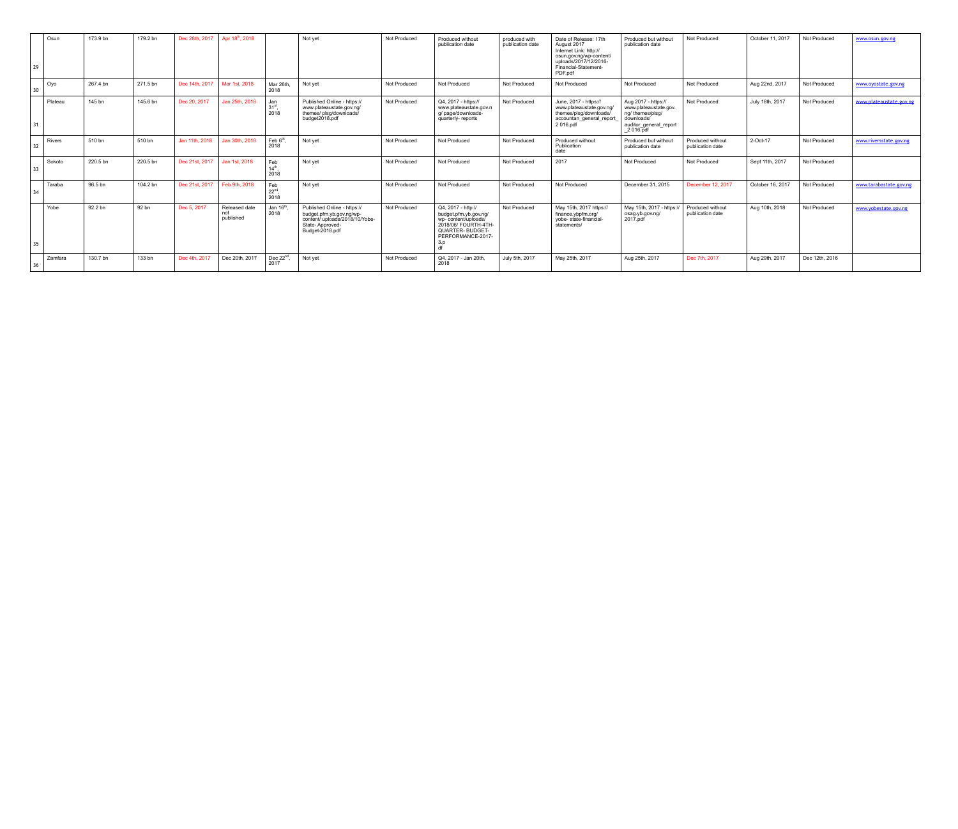| 29 | Osun          | 173.9 bn | 179.2 bn | Dec 28th, 2017 | Apr 18 <sup>th</sup> , 2018       |                                | Not yet                                                                                                                         | Not Produced | Produced without<br>publication date                                                                                                       | produced with<br>publication date | Date of Release: 17th<br>August 2017<br>Internet Link: http://<br>osun.gov.ng/wp-content/<br>uploads/2017/12/2016-<br>Financial-Statement-<br>PDF.pdf | Produced but without<br>publication date                                                                              | Not Produced                         | October 11, 2017 | Not Produced   | www.osun.gov.ng         |
|----|---------------|----------|----------|----------------|-----------------------------------|--------------------------------|---------------------------------------------------------------------------------------------------------------------------------|--------------|--------------------------------------------------------------------------------------------------------------------------------------------|-----------------------------------|-------------------------------------------------------------------------------------------------------------------------------------------------------|-----------------------------------------------------------------------------------------------------------------------|--------------------------------------|------------------|----------------|-------------------------|
| 30 | Ovo           | 267.4 bn | 271.5 bn | Dec 14th, 2017 | Mar 1st, 2018                     | Mar 26th<br>2018               | Not yet                                                                                                                         | Not Produced | Not Produced                                                                                                                               | Not Produced                      | Not Produced                                                                                                                                          | Not Produced                                                                                                          | Not Produced                         | Aug 22nd, 2017   | Not Produced   | www.oyostate.gov.ng     |
| 31 | Plateau       | 145 bn   | 145.6 bn | Dec 20, 2017   | Jan 25th, 2018                    | Jan<br>$31st$ ,<br>2018        | Published Online - https://<br>www.plateaustate.gov.ng/<br>themes/ plsg/downloads/<br>budget2018.pdf                            | Not Produced | Q4, 2017 - https://<br>www.plateaustate.gov.n<br>g/ page/downloads-<br>quarterly-reports                                                   | Not Produced                      | June, 2017 - https://<br>www.plateaustate.gov.ng/<br>themes/plsg/downloads/<br>accountan_general_report<br>2016.pdf                                   | Aug 2017 - https://<br>www.plateaustate.gov.<br>ng/ themes/plsg/<br>downloads/<br>auditor_general_report<br>2 016 pdf | Not Produced                         | July 18th, 2017  | Not Produced   | www.plateaustate.gov.ng |
| 32 | <b>Rivers</b> | 510 bn   | 510 bn   | Jan 11th, 2018 | Jan 30th, 2018                    | Feb 6 <sup>th</sup> .<br>2018  | Not yet                                                                                                                         | Not Produced | Not Produced                                                                                                                               | Not Produced                      | Produced without<br>Publication<br>date                                                                                                               | Produced but without<br>publication date                                                                              | Produced without<br>publication date | 2-Oct-17         | Not Produced   | www.riversstate.gov.ng  |
| 33 | Sokoto        | 220.5 bn | 220.5 bn | Dec 21st, 2017 | Jan 1st, 2018                     | Feb<br>$14th$ ,<br>2018        | Not yet                                                                                                                         | Not Produced | Not Produced                                                                                                                               | Not Produced                      | 2017                                                                                                                                                  | Not Produced                                                                                                          | Not Produced                         | Sept 11th, 2017  | Not Produced   |                         |
| 34 | Taraba        | 96.5 bn  | 104.2 bn | Dec 21st, 2017 | Feb 9th, 2018                     | Feb<br>$22^{nd}$ ,<br>2018     | Not yet                                                                                                                         | Not Produced | Not Produced                                                                                                                               | Not Produced                      | Not Produced                                                                                                                                          | December 31, 2015                                                                                                     | December 12, 2017                    | October 16, 2017 | Not Produced   | www.tarabastate.gov.ng  |
| 35 | Yobe          | 92.2 bn  | 92 bn    | Dec 5, 2017    | Released date<br>not<br>published | Jan 16 <sup>th</sup> ,<br>2018 | Published Online - https://<br>budget.pfm.yb.gov.ng/wp-<br>content/ uploads/2018/10/Yobe-<br>State-Approved-<br>Budget-2018.pdf | Not Produced | Q4, 2017 - http://<br>budget.pfm.yb.gov.ng/<br>wp-content/uploads/<br>2018/06/ FOURTH-4TH-<br>QUARTER- BUDGET-<br>PERFORMANCE-2017-<br>3.p | Not Produced                      | May 15th, 2017 https://<br>finance.ybpfm.org/<br>yobe-state-financial-<br>statements/                                                                 | May 15th, 2017 - https:<br>osag.yb.gov.ng/<br>2017.pdf                                                                | Produced without<br>publication date | Aug 10th, 2018   | Not Produced   | www.yobestate.gov.ng    |
| 36 | Zamfara       | 130.7 bn | 133 bn   | Dec 4th, 2017  | Dec 20th, 2017                    | Dec $22^{nd}$ ,<br>2017        | Not yet                                                                                                                         | Not Produced | Q4, 2017 - Jan 20th.<br>2018                                                                                                               | July 5th, 2017                    | May 25th, 2017                                                                                                                                        | Aug 25th, 2017                                                                                                        | Dec 7th, 2017                        | Aug 29th, 2017   | Dec 12th, 2016 |                         |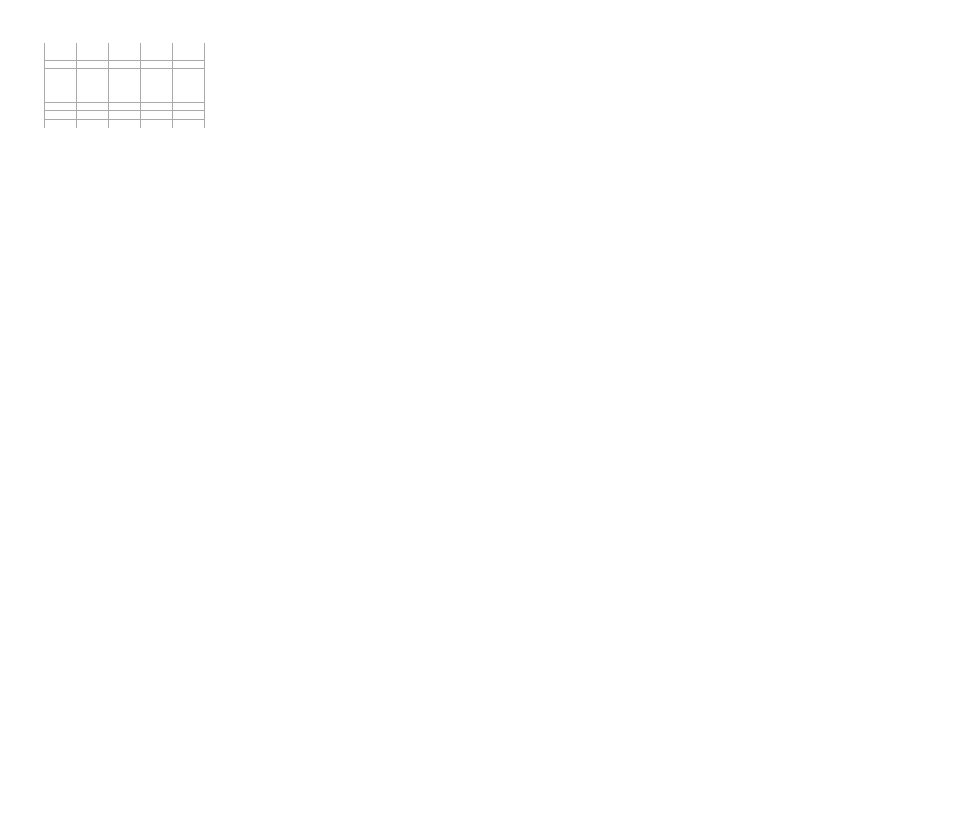|  | <b>STATISTICS</b> |  |
|--|-------------------|--|
|  |                   |  |
|  |                   |  |
|  |                   |  |
|  |                   |  |
|  |                   |  |
|  |                   |  |
|  |                   |  |